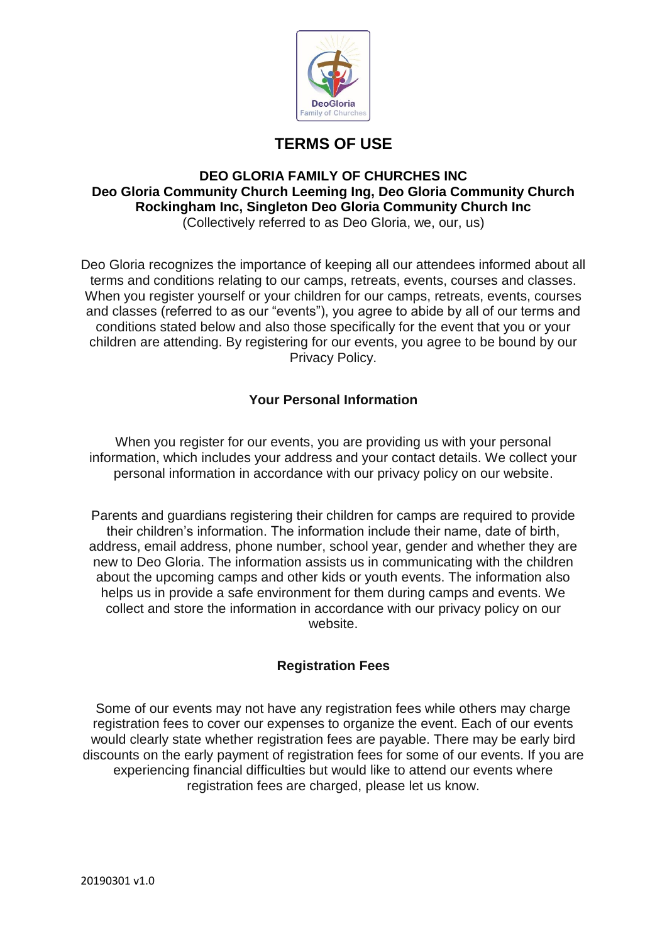

# **TERMS OF USE**

#### **DEO GLORIA FAMILY OF CHURCHES INC Deo Gloria Community Church Leeming Ing, Deo Gloria Community Church Rockingham Inc, Singleton Deo Gloria Community Church Inc** (Collectively referred to as Deo Gloria, we, our, us)

Deo Gloria recognizes the importance of keeping all our attendees informed about all terms and conditions relating to our camps, retreats, events, courses and classes. When you register yourself or your children for our camps, retreats, events, courses and classes (referred to as our "events"), you agree to abide by all of our terms and conditions stated below and also those specifically for the event that you or your children are attending. By registering for our events, you agree to be bound by our Privacy Policy.

## **Your Personal Information**

When you register for our events, you are providing us with your personal information, which includes your address and your contact details. We collect your personal information in accordance with our privacy policy on our website.

Parents and guardians registering their children for camps are required to provide their children's information. The information include their name, date of birth, address, email address, phone number, school year, gender and whether they are new to Deo Gloria. The information assists us in communicating with the children about the upcoming camps and other kids or youth events. The information also helps us in provide a safe environment for them during camps and events. We collect and store the information in accordance with our privacy policy on our website.

## **Registration Fees**

Some of our events may not have any registration fees while others may charge registration fees to cover our expenses to organize the event. Each of our events would clearly state whether registration fees are payable. There may be early bird discounts on the early payment of registration fees for some of our events. If you are experiencing financial difficulties but would like to attend our events where registration fees are charged, please let us know.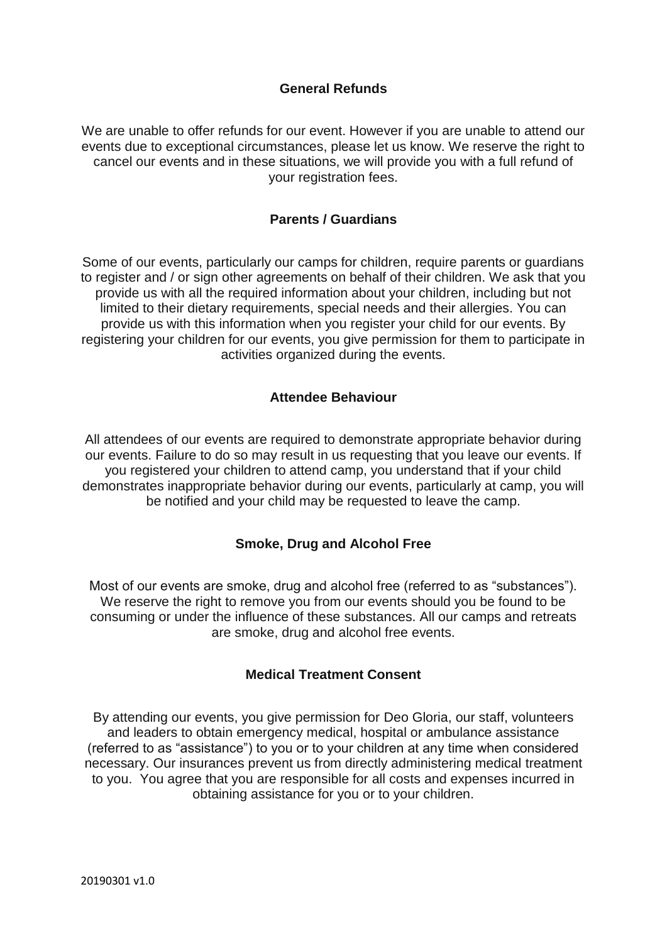## **General Refunds**

We are unable to offer refunds for our event. However if you are unable to attend our events due to exceptional circumstances, please let us know. We reserve the right to cancel our events and in these situations, we will provide you with a full refund of your registration fees.

## **Parents / Guardians**

Some of our events, particularly our camps for children, require parents or guardians to register and / or sign other agreements on behalf of their children. We ask that you provide us with all the required information about your children, including but not limited to their dietary requirements, special needs and their allergies. You can provide us with this information when you register your child for our events. By registering your children for our events, you give permission for them to participate in activities organized during the events.

## **Attendee Behaviour**

All attendees of our events are required to demonstrate appropriate behavior during our events. Failure to do so may result in us requesting that you leave our events. If you registered your children to attend camp, you understand that if your child demonstrates inappropriate behavior during our events, particularly at camp, you will be notified and your child may be requested to leave the camp.

#### **Smoke, Drug and Alcohol Free**

Most of our events are smoke, drug and alcohol free (referred to as "substances"). We reserve the right to remove you from our events should you be found to be consuming or under the influence of these substances. All our camps and retreats are smoke, drug and alcohol free events.

#### **Medical Treatment Consent**

By attending our events, you give permission for Deo Gloria, our staff, volunteers and leaders to obtain emergency medical, hospital or ambulance assistance (referred to as "assistance") to you or to your children at any time when considered necessary. Our insurances prevent us from directly administering medical treatment to you. You agree that you are responsible for all costs and expenses incurred in obtaining assistance for you or to your children.